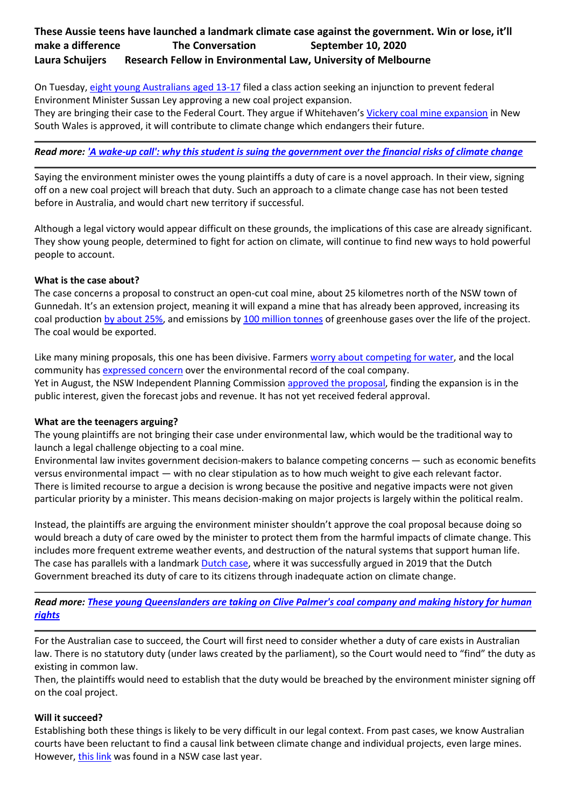# **These Aussie teens have launched a landmark climate case against the government. Win or lose, it'll make a difference The Conversation September 10, 2020 Laura Schuijers Research Fellow in Environmental Law, University of Melbourne**

On Tuesday, [eight young Australians aged 13-17](https://equitygenerationlawyers.com/cases/sharma-v-minister-for-environment/#students) filed a class action seeking an injunction to prevent federal Environment Minister Sussan Ley approving a new coal project expansion.

They are bringing their case to the Federal Court. They argue if Whitehaven's [Vickery coal mine expansion](https://whitehavencoal.com.au/our-business/our-assets/vickery-extension-project/) in New South Wales is approved, it will contribute to climate change which endangers their future.

# *Read more: ['A wake-up call': why this student is suing the government over the financial risks of climate change](https://theconversation.com/a-wake-up-call-why-this-student-is-suing-the-government-over-the-financial-risks-of-climate-change-143359)*

Saying the environment minister owes the young plaintiffs a duty of care is a novel approach. In their view, signing off on a new coal project will breach that duty. Such an approach to a climate change case has not been tested before in Australia, and would chart new territory if successful.

Although a legal victory would appear difficult on these grounds, the implications of this case are already significant. They show young people, determined to fight for action on climate, will continue to find new ways to hold powerful people to account.

# **What is the case about?**

The case concerns a proposal to construct an open-cut coal mine, about 25 kilometres north of the NSW town of Gunnedah. It's an extension project, meaning it will expand a mine that has already been approved, increasing its coal production [by about 25%,](https://www.abc.net.au/news/2020-08-12/ipc-approves-whitehaven-vickery-coal-mine-expansion/12548826) and emissions by [100 million tonnes](https://www.theguardian.com/australia-news/2020/aug/12/whitehaven-vickery-mine-expansion-to-extract-250-more-coal-approved-by-nsw) of greenhouse gases over the life of the project. The coal would be exported.

Like many mining proposals, this one has been divisive. Farmers [worry about competing for water,](https://www.abc.net.au/news/2020-08-12/ipc-approves-whitehaven-vickery-coal-mine-expansion/12548826) and the local community has [expressed concern](https://www.smh.com.au/national/nsw/whitehaven-wins-nod-for-plan-to-double-vickery-s-annual-coal-output-20200812-p55kw6.html) over the environmental record of the coal company. Yet in August, the NSW Independent Planning Commission [approved the proposal,](https://majorprojects.planningportal.nsw.gov.au/prweb/PRRestService/mp/01/getContent?AttachRef=SSD-7480%2120200812T053800.936%20GMT) finding the expansion is in the public interest, given the forecast jobs and revenue. It has not yet received federal approval.

### **What are the teenagers arguing?**

The young plaintiffs are not bringing their case under environmental law, which would be the traditional way to launch a legal challenge objecting to a coal mine.

Environmental law invites government decision-makers to balance competing concerns — such as economic benefits versus environmental impact — with no clear stipulation as to how much weight to give each relevant factor. There is limited recourse to argue a decision is wrong because the positive and negative impacts were not given particular priority by a minister. This means decision-making on major projects is largely within the political realm.

Instead, the plaintiffs are arguing the environment minister shouldn't approve the coal proposal because doing so would breach a duty of care owed by the minister to protect them from the harmful impacts of climate change. This includes more frequent extreme weather events, and destruction of the natural systems that support human life. The case has parallels with a landmark [Dutch case,](https://www.urgenda.nl/en/themas/climate-case/) where it was successfully argued in 2019 that the Dutch Government breached its duty of care to its citizens through inadequate action on climate change.

*Read more: [These young Queenslanders are taking on Clive Palmer's coal company and making history for human](https://theconversation.com/these-young-queenslanders-are-taking-on-clive-palmers-coal-company-and-making-history-for-human-rights-138732)  [rights](https://theconversation.com/these-young-queenslanders-are-taking-on-clive-palmers-coal-company-and-making-history-for-human-rights-138732)*

For the Australian case to succeed, the Court will first need to consider whether a duty of care exists in Australian law. There is no statutory duty (under laws created by the parliament), so the Court would need to "find" the duty as existing in common law.

Then, the plaintiffs would need to establish that the duty would be breached by the environment minister signing off on the coal project.

### **Will it succeed?**

Establishing both these things is likely to be very difficult in our legal context. From past cases, we know Australian courts have been reluctant to find a causal link between climate change and individual projects, even large mines. However, [this link](https://www.jade.io/article/633699) was found in a NSW case last year.